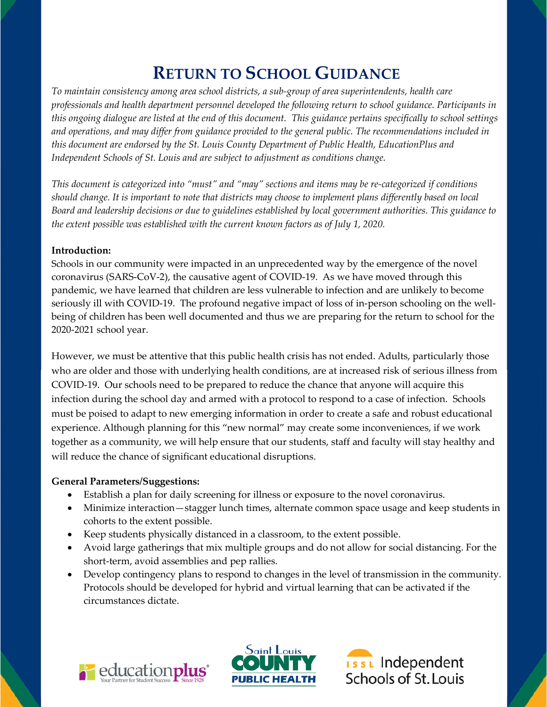# **RETURN TO SCHOOL GUIDANCE**

*To maintain consistency among area school districts, a sub-group of area superintendents, health care professionals and health department personnel developed the following return to school guidance. Participants in this ongoing dialogue are listed at the end of this document. This guidance pertains specifically to school settings and operations, and may differ from guidance provided to the general public. The recommendations included in this document are endorsed by the St. Louis County Department of Public Health, EducationPlus and Independent Schools of St. Louis and are subject to adjustment as conditions change.*

*This document is categorized into "must" and "may" sections and items may be re-categorized if conditions should change. It is important to note that districts may choose to implement plans differently based on local Board and leadership decisions or due to guidelines established by local government authorities. This guidance to the extent possible was established with the current known factors as of July 1, 2020.* 

# **Introduction:**

Schools in our community were impacted in an unprecedented way by the emergence of the novel coronavirus (SARS-CoV-2), the causative agent of COVID-19. As we have moved through this pandemic, we have learned that children are less vulnerable to infection and are unlikely to become seriously ill with COVID-19. The profound negative impact of loss of in-person schooling on the wellbeing of children has been well documented and thus we are preparing for the return to school for the 2020-2021 school year.

However, we must be attentive that this public health crisis has not ended. Adults, particularly those who are older and those with underlying health conditions, are at increased risk of serious illness from COVID-19. Our schools need to be prepared to reduce the chance that anyone will acquire this infection during the school day and armed with a protocol to respond to a case of infection. Schools must be poised to adapt to new emerging information in order to create a safe and robust educational experience. Although planning for this "new normal" may create some inconveniences, if we work together as a community, we will help ensure that our students, staff and faculty will stay healthy and will reduce the chance of significant educational disruptions.

# **General Parameters/Suggestions:**

- Establish a plan for daily screening for illness or exposure to the novel coronavirus.
- Minimize interaction—stagger lunch times, alternate common space usage and keep students in cohorts to the extent possible.
- Keep students physically distanced in a classroom, to the extent possible.
- Avoid large gatherings that mix multiple groups and do not allow for social distancing. For the short-term, avoid assemblies and pep rallies.
- Develop contingency plans to respond to changes in the level of transmission in the community. Protocols should be developed for hybrid and virtual learning that can be activated if the circumstances dictate.





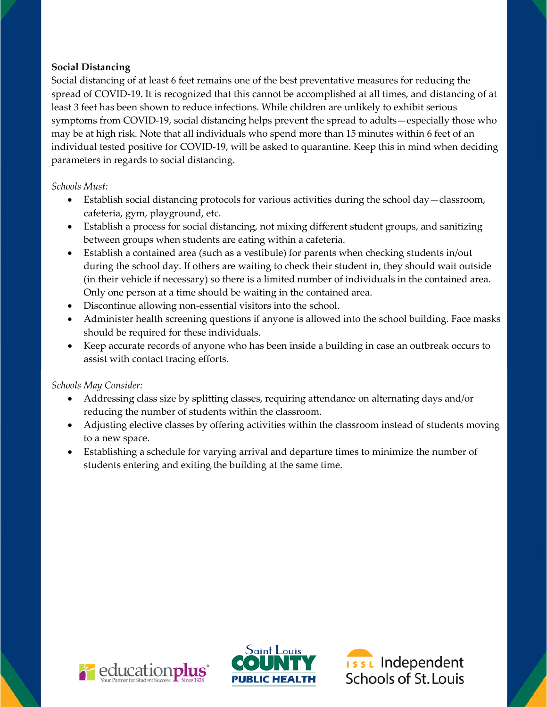## **Social Distancing**

Social distancing of at least 6 feet remains one of the best preventative measures for reducing the spread of COVID-19. It is recognized that this cannot be accomplished at all times, and distancing of at least 3 feet has been shown to reduce infections. While children are unlikely to exhibit serious symptoms from COVID-19, social distancing helps prevent the spread to adults—especially those who may be at high risk. Note that all individuals who spend more than 15 minutes within 6 feet of an individual tested positive for COVID-19, will be asked to quarantine. Keep this in mind when deciding parameters in regards to social distancing.

#### *Schools Must:*

- Establish social distancing protocols for various activities during the school day—classroom, cafeteria, gym, playground, etc.
- Establish a process for social distancing, not mixing different student groups, and sanitizing between groups when students are eating within a cafeteria.
- Establish a contained area (such as a vestibule) for parents when checking students in/out during the school day. If others are waiting to check their student in, they should wait outside (in their vehicle if necessary) so there is a limited number of individuals in the contained area. Only one person at a time should be waiting in the contained area.
- Discontinue allowing non-essential visitors into the school.
- Administer health screening questions if anyone is allowed into the school building. Face masks should be required for these individuals.
- Keep accurate records of anyone who has been inside a building in case an outbreak occurs to assist with contact tracing efforts.

#### *Schools May Consider:*

- Addressing class size by splitting classes, requiring attendance on alternating days and/or reducing the number of students within the classroom.
- Adjusting elective classes by offering activities within the classroom instead of students moving to a new space.
- Establishing a schedule for varying arrival and departure times to minimize the number of students entering and exiting the building at the same time.





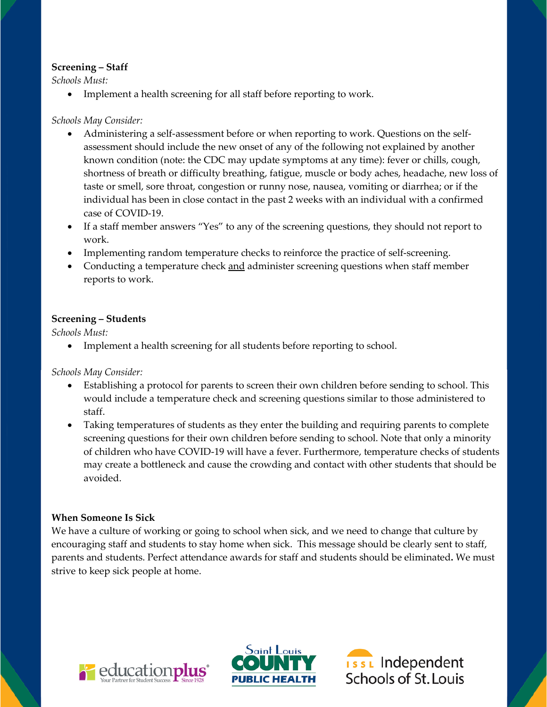## **Screening – Staff**

*Schools Must:*

• Implement a health screening for all staff before reporting to work.

#### *Schools May Consider:*

- Administering a self-assessment before or when reporting to work. Questions on the selfassessment should include the new onset of any of the following not explained by another known condition (note: the CDC may update symptoms at any time): fever or chills, cough, shortness of breath or difficulty breathing, fatigue, muscle or body aches, headache, new loss of taste or smell, sore throat, congestion or runny nose, nausea, vomiting or diarrhea; or if the individual has been in close contact in the past 2 weeks with an individual with a confirmed case of COVID-19.
- If a staff member answers "Yes" to any of the screening questions, they should not report to work.
- Implementing random temperature checks to reinforce the practice of self-screening.
- Conducting a temperature check and administer screening questions when staff member reports to work.

## **Screening – Students**

*Schools Must:*

• Implement a health screening for all students before reporting to school.

*Schools May Consider:*

- Establishing a protocol for parents to screen their own children before sending to school. This would include a temperature check and screening questions similar to those administered to staff.
- Taking temperatures of students as they enter the building and requiring parents to complete screening questions for their own children before sending to school. Note that only a minority of children who have COVID-19 will have a fever. Furthermore, temperature checks of students may create a bottleneck and cause the crowding and contact with other students that should be avoided.

# **When Someone Is Sick**

We have a culture of working or going to school when sick, and we need to change that culture by encouraging staff and students to stay home when sick. This message should be clearly sent to staff, parents and students. Perfect attendance awards for staff and students should be eliminated**.** We must strive to keep sick people at home.





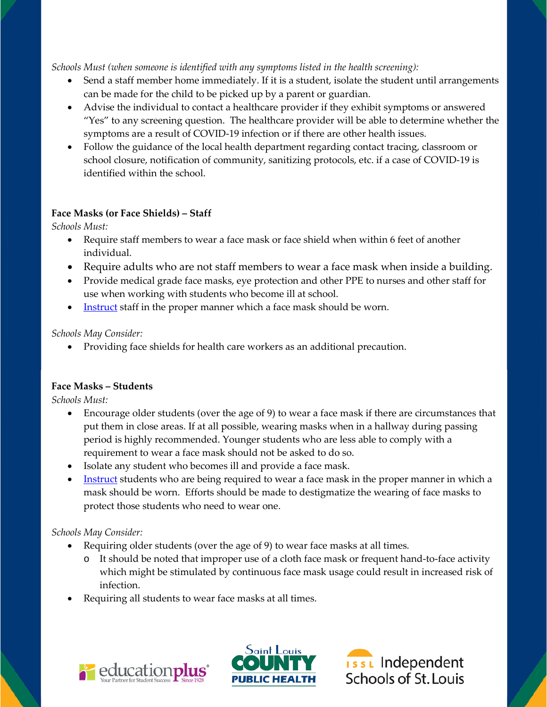*Schools Must (when someone is identified with any symptoms listed in the health screening):*

- Send a staff member home immediately. If it is a student, isolate the student until arrangements can be made for the child to be picked up by a parent or guardian.
- Advise the individual to contact a healthcare provider if they exhibit symptoms or answered "Yes" to any screening question. The healthcare provider will be able to determine whether the symptoms are a result of COVID-19 infection or if there are other health issues.
- Follow the guidance of the local health department regarding contact tracing, classroom or school closure, notification of community, sanitizing protocols, etc. if a case of COVID-19 is identified within the school.

# **Face Masks (or Face Shields) – Staff**

*Schools Must:*

- Require staff members to wear a face mask or face shield when within 6 feet of another individual.
- Require adults who are not staff members to wear a face mask when inside a building.
- Provide medical grade face masks, eye protection and other PPE to nurses and other staff for use when working with students who become ill at school.
- [Instruct](https://c19rrt.org/wp-content/uploads/2020/05/HLM-design-_-How-to-wear-a-homemade-face-mask-v2-1.pdf) staff in the proper manner which a face mask should be worn.

*Schools May Consider:*

• Providing face shields for health care workers as an additional precaution.

# **Face Masks – Students**

*Schools Must:*

- Encourage older students (over the age of 9) to wear a face mask if there are circumstances that put them in close areas. If at all possible, wearing masks when in a hallway during passing period is highly recommended. Younger students who are less able to comply with a requirement to wear a face mask should not be asked to do so.
- Isolate any student who becomes ill and provide a face mask.
- **<u>[Instruct](https://c19rrt.org/wp-content/uploads/2020/05/HLM-design-_-How-to-wear-a-homemade-face-mask-v2-1.pdf)</u>** students who are being required to wear a face mask in the proper manner in which a mask should be worn. Efforts should be made to destigmatize the wearing of face masks to protect those students who need to wear one.

# *Schools May Consider:*

- Requiring older students (over the age of 9) to wear face masks at all times.
	- o It should be noted that improper use of a cloth face mask or frequent hand-to-face activity which might be stimulated by continuous face mask usage could result in increased risk of infection.
- Requiring all students to wear face masks at all times.





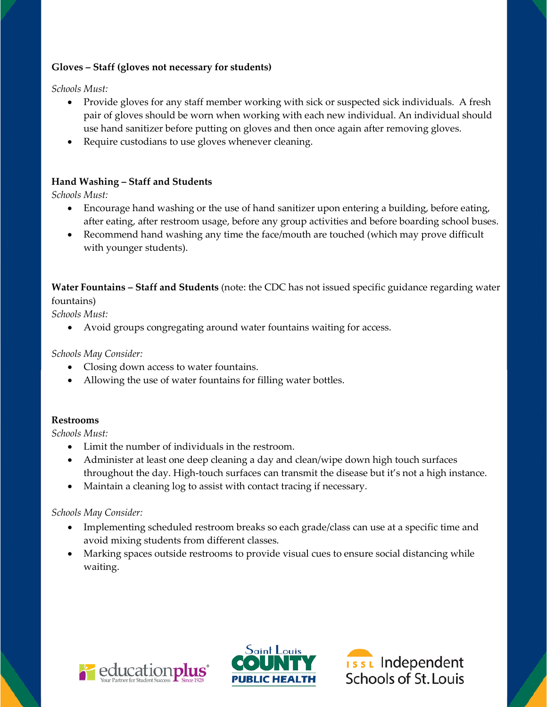## **Gloves – Staff (gloves not necessary for students)**

*Schools Must:*

- Provide gloves for any staff member working with sick or suspected sick individuals. A fresh pair of gloves should be worn when working with each new individual. An individual should use hand sanitizer before putting on gloves and then once again after removing gloves.
- Require custodians to use gloves whenever cleaning.

# **Hand Washing – Staff and Students**

*Schools Must:*

- Encourage hand washing or the use of hand sanitizer upon entering a building, before eating, after eating, after restroom usage, before any group activities and before boarding school buses.
- Recommend hand washing any time the face/mouth are touched (which may prove difficult with younger students).

**Water Fountains – Staff and Students** (note: the CDC has not issued specific guidance regarding water fountains)

*Schools Must:*

• Avoid groups congregating around water fountains waiting for access.

*Schools May Consider:*

- Closing down access to water fountains.
- Allowing the use of water fountains for filling water bottles.

#### **Restrooms**

*Schools Must:*

- Limit the number of individuals in the restroom.
- Administer at least one deep cleaning a day and clean/wipe down high touch surfaces throughout the day. High-touch surfaces can transmit the disease but it's not a high instance.
- Maintain a cleaning log to assist with contact tracing if necessary.

#### *Schools May Consider:*

- Implementing scheduled restroom breaks so each grade/class can use at a specific time and avoid mixing students from different classes.
- Marking spaces outside restrooms to provide visual cues to ensure social distancing while waiting.





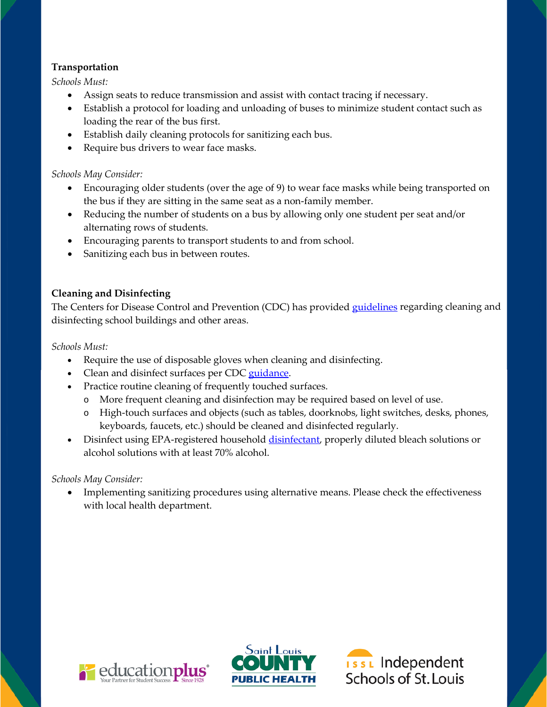## **Transportation**

*Schools Must:*

- Assign seats to reduce transmission and assist with contact tracing if necessary.
- Establish a protocol for loading and unloading of buses to minimize student contact such as loading the rear of the bus first.
- Establish daily cleaning protocols for sanitizing each bus.
- Require bus drivers to wear face masks.

## *Schools May Consider:*

- Encouraging older students (over the age of 9) to wear face masks while being transported on the bus if they are sitting in the same seat as a non-family member.
- Reducing the number of students on a bus by allowing only one student per seat and/or alternating rows of students.
- Encouraging parents to transport students to and from school.
- Sanitizing each bus in between routes.

## **Cleaning and Disinfecting**

The Centers for Disease Control and Prevention (CDC) has provided [guidelines](https://www.cdc.gov/coronavirus/2019-ncov/community/disinfecting-building-facility.html) regarding cleaning and disinfecting school buildings and other areas.

*Schools Must:*

- Require the use of disposable gloves when cleaning and disinfecting.
- Clean and disinfect surfaces per CDC [guidance.](https://www.cdc.gov/coronavirus/2019-ncov/community/disinfecting-building-facility.html)
- Practice routine cleaning of frequently touched surfaces.
	- o More frequent cleaning and disinfection may be required based on level of use.
	- o High-touch surfaces and objects (such as tables, doorknobs, light switches, desks, phones, keyboards, faucets, etc.) should be cleaned and disinfected regularly.
- Disinfect using EPA-registered househol[d disinfectant,](https://www.epa.gov/pesticide-registration/list-n-disinfectants-use-against-sars-cov-2-covid-19) properly diluted bleach solutions or alcohol solutions with at least 70% alcohol.

# *Schools May Consider:*

• Implementing sanitizing procedures using alternative means. Please check the effectiveness with local health department.





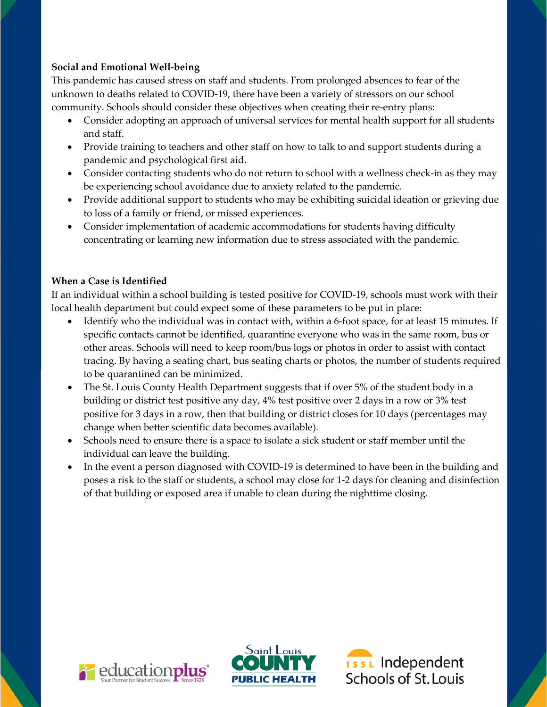# **Social and Emotional Well-being**

This pandemic has caused stress on staff and students. From prolonged absences to fear of the unknown to deaths related to COVID-19, there have been a variety of stressors on our school community. Schools should consider these objectives when creating their re-entry plans:

- Consider adopting an approach of universal services for mental health support for all students and staff.
- Provide training to teachers and other staff on how to talk to and support students during a pandemic and psychological first aid.
- Consider contacting students who do not return to school with a wellness check-in as they may be experiencing school avoidance due to anxiety related to the pandemic.
- Provide additional support to students who may be exhibiting suicidal ideation or grieving due to loss of a family or friend, or missed experiences.
- Consider implementation of academic accommodations for students having difficulty concentrating or learning new information due to stress associated with the pandemic.

## **When a Case is Identified**

If an individual within a school building is tested positive for COVID-19, schools must work with their local health department but could expect some of these parameters to be put in place:

- Identify who the individual was in contact with, within a 6-foot space, for at least 15 minutes. If specific contacts cannot be identified, quarantine everyone who was in the same room, bus or other areas. Schools will need to keep room/bus logs or photos in order to assist with contact tracing. By having a seating chart, bus seating charts or photos, the number of students required to be quarantined can be minimized.
- The St. Louis County Health Department suggests that if over 5% of the student body in a building or district test positive any day, 4% test positive over 2 days in a row or 3% test positive for 3 days in a row, then that building or district closes for 10 days (percentages may change when better scientific data becomes available).
- Schools need to ensure there is a space to isolate a sick student or staff member until the individual can leave the building.
- In the event a person diagnosed with COVID-19 is determined to have been in the building and poses a risk to the staff or students, a school may close for 1-2 days for cleaning and disinfection of that building or exposed area if unable to clean during the nighttime closing.